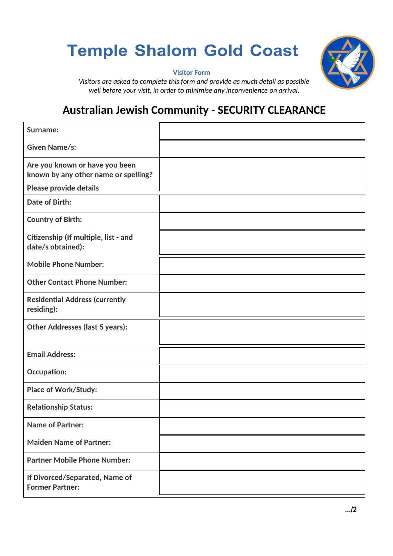## **Temple Shalom Gold Coast**



 **Visitor Form**

*Visitors are asked to complete this form and provide as much detail as possible well before your visit, in order to minimise any inconvenience on arrival.*

## **Australian Jewish Community - SECURITY CLEARANCE**

| <b>Surname:</b>                                                        |  |
|------------------------------------------------------------------------|--|
| Given Name/s:                                                          |  |
| Are you known or have you been<br>known by any other name or spelling? |  |
| <b>Please provide details</b>                                          |  |
| <b>Date of Birth:</b>                                                  |  |
| <b>Country of Birth:</b>                                               |  |
| Citizenship (If multiple, list - and<br>date/s obtained):              |  |
| <b>Mobile Phone Number:</b>                                            |  |
| <b>Other Contact Phone Number:</b>                                     |  |
| <b>Residential Address (currently</b><br>residing):                    |  |
| <b>Other Addresses (last 5 years):</b>                                 |  |
| <b>Email Address:</b>                                                  |  |
| <b>Occupation:</b>                                                     |  |
| <b>Place of Work/Study:</b>                                            |  |
| <b>Relationship Status:</b>                                            |  |
| <b>Name of Partner:</b>                                                |  |
| <b>Maiden Name of Partner:</b>                                         |  |
| <b>Partner Mobile Phone Number:</b>                                    |  |
| If Divorced/Separated, Name of<br><b>Former Partner:</b>               |  |